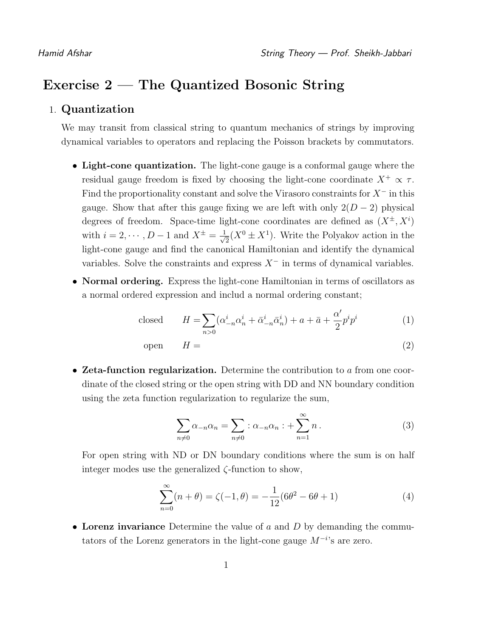# Exercise 2 — The Quantized Bosonic String

## 1. Quantization

We may transit from classical string to quantum mechanics of strings by improving dynamical variables to operators and replacing the Poisson brackets by commutators.

- Light-cone quantization. The light-cone gauge is a conformal gauge where the residual gauge freedom is fixed by choosing the light-cone coordinate  $X^+ \propto \tau$ . Find the proportionality constant and solve the Virasoro constraints for  $X^-$  in this gauge. Show that after this gauge fixing we are left with only  $2(D-2)$  physical degrees of freedom. Space-time light-cone coordinates are defined as  $(X^{\pm}, X^{i})$ with  $i = 2, \dots, D-1$  and  $X^{\pm} = \frac{1}{\sqrt{2}}$  $\frac{1}{2}(X^0 \pm X^1)$ . Write the Polyakov action in the light-cone gauge and find the canonical Hamiltonian and identify the dynamical variables. Solve the constraints and express  $X^-$  in terms of dynamical variables.
- Normal ordering. Express the light-cone Hamiltonian in terms of oscillators as a normal ordered expression and includ a normal ordering constant;

closed 
$$
H = \sum_{n>0} (\alpha_{-n}^i \alpha_n^i + \bar{\alpha}_{-n}^i \bar{\alpha}_n^i) + a + \bar{a} + \frac{\alpha'}{2} p^i p^i
$$
 (1)

open 
$$
H = (2)
$$

• Zeta-function regularization. Determine the contribution to  $a$  from one coordinate of the closed string or the open string with DD and NN boundary condition using the zeta function regularization to regularize the sum,

$$
\sum_{n\neq 0} \alpha_{-n} \alpha_n = \sum_{n\neq 0} : \alpha_{-n} \alpha_n : + \sum_{n=1}^{\infty} n .
$$
 (3)

For open string with ND or DN boundary conditions where the sum is on half integer modes use the generalized  $\zeta$ -function to show,

$$
\sum_{n=0}^{\infty} (n+\theta) = \zeta(-1,\theta) = -\frac{1}{12}(6\theta^2 - 6\theta + 1)
$$
 (4)

• Lorenz invariance Determine the value of  $a$  and  $D$  by demanding the commutators of the Lorenz generators in the light-cone gauge  $M^{-i}$ 's are zero.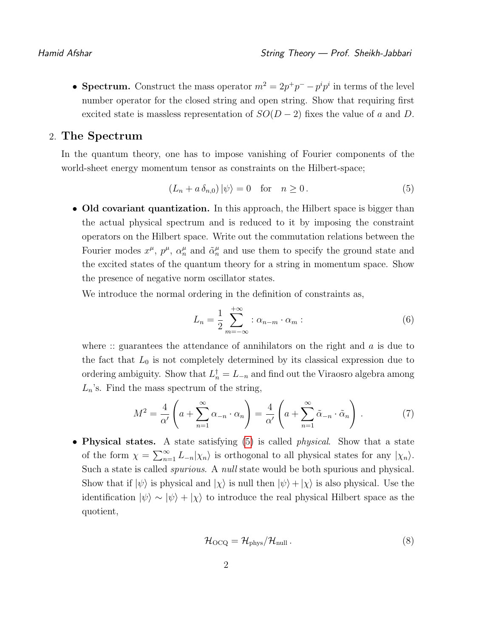• Spectrum. Construct the mass operator  $m^2 = 2p^+p^- - p^i p^i$  in terms of the level number operator for the closed string and open string. Show that requiring first excited state is massless representation of  $SO(D-2)$  fixes the value of a and D.

### 2. The Spectrum

In the quantum theory, one has to impose vanishing of Fourier components of the world-sheet energy momentum tensor as constraints on the Hilbert-space;

<span id="page-1-0"></span>
$$
(L_n + a \, \delta_{n,0}) \, |\psi\rangle = 0 \quad \text{for} \quad n \ge 0 \,. \tag{5}
$$

• Old covariant quantization. In this approach, the Hilbert space is bigger than the actual physical spectrum and is reduced to it by imposing the constraint operators on the Hilbert space. Write out the commutation relations between the Fourier modes  $x^{\mu}$ ,  $p^{\mu}$ ,  $\alpha_n^{\mu}$  and  $\tilde{\alpha}_n^{\mu}$  and use them to specify the ground state and the excited states of the quantum theory for a string in momentum space. Show the presence of negative norm oscillator states.

We introduce the normal ordering in the definition of constraints as,

$$
L_n = \frac{1}{2} \sum_{m=-\infty}^{+\infty} : \alpha_{n-m} \cdot \alpha_m:
$$
 (6)

where  $\therefore$  guarantees the attendance of annihilators on the right and  $a$  is due to the fact that  $L_0$  is not completely determined by its classical expression due to ordering ambiguity. Show that  $L_n^{\dagger} = L_{-n}$  and find out the Viraosro algebra among  $L_n$ 's. Find the mass spectrum of the string,

$$
M^{2} = \frac{4}{\alpha'} \left( a + \sum_{n=1}^{\infty} \alpha_{-n} \cdot \alpha_{n} \right) = \frac{4}{\alpha'} \left( a + \sum_{n=1}^{\infty} \tilde{\alpha}_{-n} \cdot \tilde{\alpha}_{n} \right).
$$
 (7)

• Physical states. A state satisfying  $(5)$  is called *physical*. Show that a state of the form  $\chi = \sum_{n=1}^{\infty} L_{-n} |\chi_n\rangle$  is orthogonal to all physical states for any  $|\chi_n\rangle$ . Such a state is called *spurious*. A *null* state would be both spurious and physical. Show that if  $|\psi\rangle$  is physical and  $|\chi\rangle$  is null then  $|\psi\rangle + |\chi\rangle$  is also physical. Use the identification  $|\psi\rangle \sim |\psi\rangle + |\chi\rangle$  to introduce the real physical Hilbert space as the quotient,

$$
\mathcal{H}_{\text{OCQ}} = \mathcal{H}_{\text{phys}} / \mathcal{H}_{\text{null}} \,. \tag{8}
$$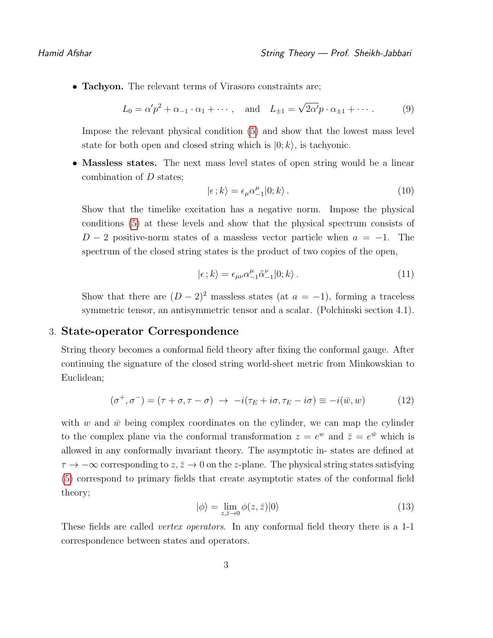• Tachyon. The relevant terms of Virasoro constraints are;

$$
L_0 = \alpha' p^2 + \alpha_{-1} \cdot \alpha_1 + \cdots, \quad \text{and} \quad L_{\pm 1} = \sqrt{2\alpha'} p \cdot \alpha_{\pm 1} + \cdots. \tag{9}
$$

Impose the relevant physical condition [\(5\)](#page-1-0) and show that the lowest mass level state for both open and closed string which is  $|0; k\rangle$ , is tachyonic.

• Massless states. The next mass level states of open string would be a linear combination of D states;

$$
|\epsilon \,;\,k\rangle = \epsilon_{\mu}\alpha_{-1}^{\mu}|0; k\rangle. \tag{10}
$$

Show that the timelike excitation has a negative norm. Impose the physical conditions [\(5\)](#page-1-0) at these levels and show that the physical spectrum consists of  $D-2$  positive-norm states of a massless vector particle when  $a = -1$ . The spectrum of the closed string states is the product of two copies of the open,

$$
|\epsilon \,;\,k\rangle = \epsilon_{\mu\nu} \alpha_{-1}^{\mu} \tilde{\alpha}_{-1}^{\nu} |0; k\rangle \,. \tag{11}
$$

Show that there are  $(D-2)^2$  massless states (at  $a = -1$ ), forming a traceless symmetric tensor, an antisymmetric tensor and a scalar. (Polchinski section 4.1).

### 3. State-operator Correspondence

String theory becomes a conformal field theory after fixing the conformal gauge. After continuing the signature of the closed string world-sheet metric from Minkowskian to Euclidean;

$$
(\sigma^+, \sigma^-) = (\tau + \sigma, \tau - \sigma) \rightarrow -i(\tau_E + i\sigma, \tau_E - i\sigma) \equiv -i(\bar{w}, w) \tag{12}
$$

with w and  $\bar{w}$  being complex coordinates on the cylinder, we can map the cylinder to the complex plane via the conformal transformation  $z = e^w$  and  $\overline{z} = e^{\overline{w}}$  which is allowed in any conformally invariant theory. The asymptotic in- states are defined at  $\tau \to -\infty$  corresponding to  $z, \bar{z} \to 0$  on the z-plane. The physical string states satisfying [\(5\)](#page-1-0) correspond to primary fields that create asymptotic states of the conformal field theory;

$$
|\phi\rangle = \lim_{z,\bar{z}\to 0} \phi(z,\bar{z})|0\rangle \tag{13}
$$

These fields are called *vertex operators*. In any conformal field theory there is a 1-1 correspondence between states and operators.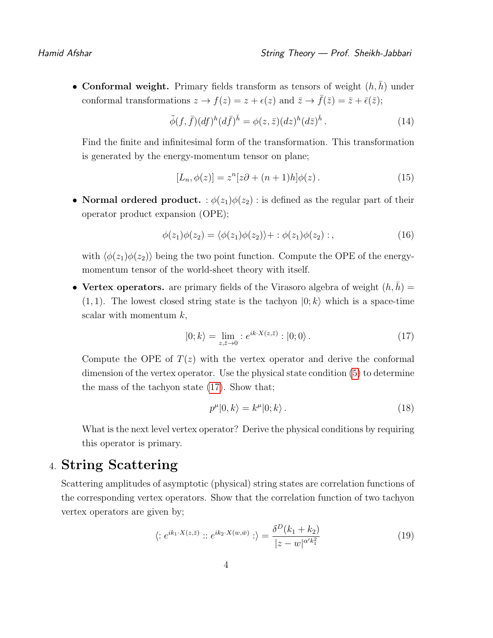• Conformal weight. Primary fields transform as tensors of weight  $(h, \bar{h})$  under conformal transformations  $z \to f(z) = z + \epsilon(z)$  and  $\overline{z} \to \overline{f}(\overline{z}) = \overline{z} + \overline{\epsilon}(\overline{z});$ 

$$
\tilde{\phi}(f,\bar{f})(df)^h(d\bar{f})^{\bar{h}} = \phi(z,\bar{z})(dz)^h(d\bar{z})^{\bar{h}}.
$$
\n(14)

Find the finite and infinitesimal form of the transformation. This transformation is generated by the energy-momentum tensor on plane;

$$
[L_n, \phi(z)] = z^n [z\partial + (n+1)h] \phi(z).
$$
 (15)

• Normal ordered product. :  $\phi(z_1)\phi(z_2)$ : is defined as the regular part of their operator product expansion (OPE);

$$
\phi(z_1)\phi(z_2) = \langle \phi(z_1)\phi(z_2) \rangle + : \phi(z_1)\phi(z_2) : , \tag{16}
$$

with  $\langle \phi(z_1)\phi(z_2) \rangle$  being the two point function. Compute the OPE of the energymomentum tensor of the world-sheet theory with itself.

• Vertex operators. are primary fields of the Virasoro algebra of weight  $(h, \bar{h}) =$  $(1, 1)$ . The lowest closed string state is the tachyon  $|0; k\rangle$  which is a space-time scalar with momentum  $k$ ,

<span id="page-3-0"></span>
$$
|0; k\rangle = \lim_{z,\bar{z}\to 0} :e^{ik \cdot X(z,\bar{z})} : |0;0\rangle.
$$
 (17)

Compute the OPE of  $T(z)$  with the vertex operator and derive the conformal dimension of the vertex operator. Use the physical state condition [\(5\)](#page-1-0) to determine the mass of the tachyon state [\(17\)](#page-3-0). Show that;

$$
p^{\mu}|0,k\rangle = k^{\mu}|0;k\rangle.
$$
 (18)

What is the next level vertex operator? Derive the physical conditions by requiring this operator is primary.

## 4. String Scattering

Scattering amplitudes of asymptotic (physical) string states are correlation functions of the corresponding vertex operators. Show that the correlation function of two tachyon vertex operators are given by;

$$
\langle :e^{ik_1 \cdot X(z,\bar{z})} :: e^{ik_2 \cdot X(w,\bar{w})} : \rangle = \frac{\delta^D(k_1 + k_2)}{|z - w|^{\alpha' k_1^2}} \tag{19}
$$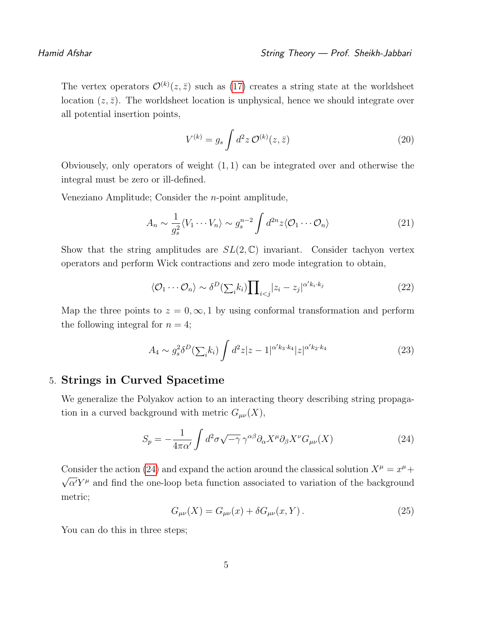The vertex operators  $\mathcal{O}^{(k)}(z,\bar{z})$  such as [\(17\)](#page-3-0) creates a string state at the worldsheet location  $(z, \bar{z})$ . The worldsheet location is unphysical, hence we should integrate over all potential insertion points,

$$
V^{(k)} = g_s \int d^2 z \, \mathcal{O}^{(k)}(z,\bar{z}) \tag{20}
$$

Obviousely, only operators of weight  $(1, 1)$  can be integrated over and otherwise the integral must be zero or ill-defined.

Veneziano Amplitude; Consider the n-point amplitude,

$$
A_n \sim \frac{1}{g_s^2} \langle V_1 \cdots V_n \rangle \sim g_s^{n-2} \int d^{2n} z \langle \mathcal{O}_1 \cdots \mathcal{O}_n \rangle \tag{21}
$$

Show that the string amplitudes are  $SL(2,\mathbb{C})$  invariant. Consider tachyon vertex operators and perform Wick contractions and zero mode integration to obtain,

$$
\langle \mathcal{O}_1 \cdots \mathcal{O}_n \rangle \sim \delta^D(\sum_i k_i) \prod_{i < j} |z_i - z_j|^{\alpha' k_i \cdot k_j} \tag{22}
$$

Map the three points to  $z = 0, \infty, 1$  by using conformal transformation and perform the following integral for  $n = 4$ ;

$$
A_4 \sim g_s^2 \delta^D(\sum_i k_i) \int d^2 z |z - 1|^{\alpha' k_3 \cdot k_4} |z|^{\alpha' k_2 \cdot k_4} \tag{23}
$$

### 5. Strings in Curved Spacetime

We generalize the Polyakov action to an interacting theory describing string propagation in a curved background with metric  $G_{\mu\nu}(X)$ ,

<span id="page-4-0"></span>
$$
S_p = -\frac{1}{4\pi\alpha'} \int d^2\sigma \sqrt{-\gamma} \gamma^{\alpha\beta} \partial_\alpha X^\mu \partial_\beta X^\nu G_{\mu\nu}(X) \tag{24}
$$

Consider the action [\(24\)](#page-4-0) and expand the action around the classical solution  $X^{\mu} = x^{\mu} +$ √  $\overline{\alpha'}Y^{\mu}$  and find the one-loop beta function associated to variation of the background metric;

$$
G_{\mu\nu}(X) = G_{\mu\nu}(x) + \delta G_{\mu\nu}(x, Y). \tag{25}
$$

You can do this in three steps;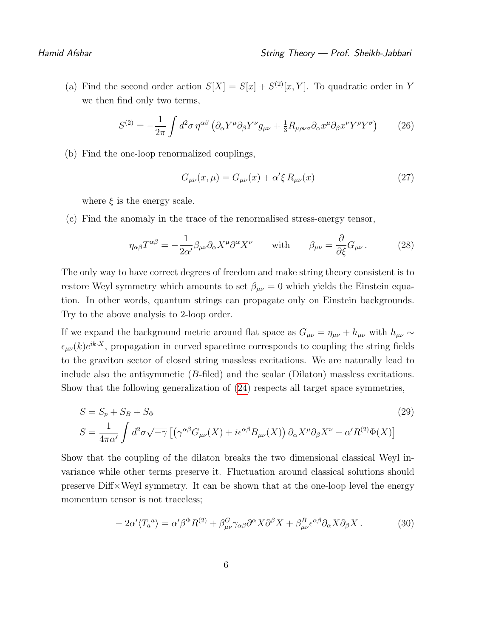(a) Find the second order action  $S[X] = S[x] + S^{(2)}[x, Y]$ . To quadratic order in Y we then find only two terms,

$$
S^{(2)} = -\frac{1}{2\pi} \int d^2\sigma \,\eta^{\alpha\beta} \left( \partial_\alpha Y^\mu \partial_\beta Y^\nu g_{\mu\nu} + \frac{1}{3} R_{\mu\rho\nu\sigma} \partial_\alpha x^\mu \partial_\beta x^\nu Y^\rho Y^\sigma \right) \tag{26}
$$

(b) Find the one-loop renormalized couplings,

$$
G_{\mu\nu}(x,\mu) = G_{\mu\nu}(x) + \alpha' \xi R_{\mu\nu}(x) \tag{27}
$$

where  $\xi$  is the energy scale.

(c) Find the anomaly in the trace of the renormalised stress-energy tensor,

$$
\eta_{\alpha\beta}T^{\alpha\beta} = -\frac{1}{2\alpha'}\beta_{\mu\nu}\partial_{\alpha}X^{\mu}\partial^{\alpha}X^{\nu} \quad \text{with} \quad \beta_{\mu\nu} = \frac{\partial}{\partial\xi}G_{\mu\nu}.
$$
 (28)

The only way to have correct degrees of freedom and make string theory consistent is to restore Weyl symmetry which amounts to set  $\beta_{\mu\nu} = 0$  which yields the Einstein equation. In other words, quantum strings can propagate only on Einstein backgrounds. Try to the above analysis to 2-loop order.

If we expand the background metric around flat space as  $G_{\mu\nu} = \eta_{\mu\nu} + h_{\mu\nu}$  with  $h_{\mu\nu} \sim$  $\epsilon_{\mu\nu}(k)e^{ik \cdot X}$ , propagation in curved spacetime corresponds to coupling the string fields to the graviton sector of closed string massless excitations. We are naturally lead to include also the antisymmetic (B-filed) and the scalar (Dilaton) massless excitations. Show that the following generalization of [\(24\)](#page-4-0) respects all target space symmetries,

$$
S = S_p + S_B + S_{\Phi}
$$
  
\n
$$
S = \frac{1}{4\pi\alpha'} \int d^2\sigma \sqrt{-\gamma} \left[ \left( \gamma^{\alpha\beta} G_{\mu\nu}(X) + i\epsilon^{\alpha\beta} B_{\mu\nu}(X) \right) \partial_\alpha X^\mu \partial_\beta X^\nu + \alpha' R^{(2)} \Phi(X) \right]
$$
\n
$$
(29)
$$

Show that the coupling of the dilaton breaks the two dimensional classical Weyl invariance while other terms preserve it. Fluctuation around classical solutions should preserve Diff×Weyl symmetry. It can be shown that at the one-loop level the energy momentum tensor is not traceless;

<span id="page-5-0"></span>
$$
-2\alpha'\langle T_a^a\rangle = \alpha'\beta^{\Phi}R^{(2)} + \beta^G_{\mu\nu}\gamma_{\alpha\beta}\partial^{\alpha}X\partial^{\beta}X + \beta^B_{\mu\nu}\epsilon^{\alpha\beta}\partial_{\alpha}X\partial_{\beta}X. \tag{30}
$$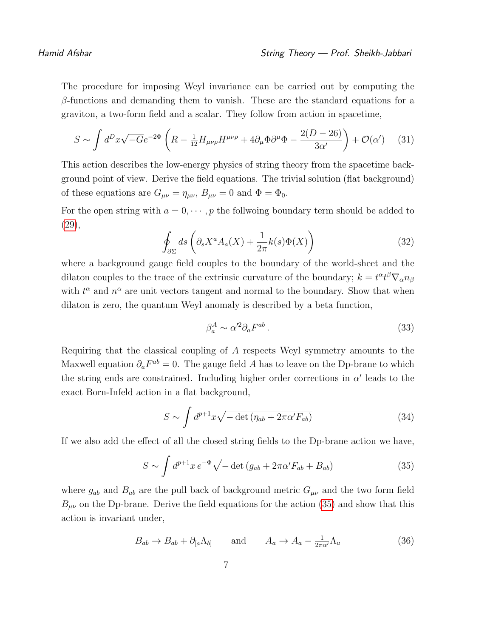The procedure for imposing Weyl invariance can be carried out by computing the  $\beta$ -functions and demanding them to vanish. These are the standard equations for a graviton, a two-form field and a scalar. They follow from action in spacetime,

<span id="page-6-1"></span>
$$
S \sim \int d^D x \sqrt{-G} e^{-2\Phi} \left( R - \frac{1}{12} H_{\mu\nu\rho} H^{\mu\nu\rho} + 4 \partial_\mu \Phi \partial^\mu \Phi - \frac{2(D - 26)}{3\alpha'} \right) + \mathcal{O}(\alpha') \tag{31}
$$

This action describes the low-energy physics of string theory from the spacetime background point of view. Derive the field equations. The trivial solution (flat background) of these equations are  $G_{\mu\nu} = \eta_{\mu\nu}$ ,  $B_{\mu\nu} = 0$  and  $\Phi = \Phi_0$ .

For the open string with  $a = 0, \dots, p$  the follwoing boundary term should be added to [\(29\)](#page-5-0),

$$
\oint_{\partial \Sigma} ds \left( \partial_s X^a A_a(X) + \frac{1}{2\pi} k(s) \Phi(X) \right) \tag{32}
$$

where a background gauge field couples to the boundary of the world-sheet and the dilaton couples to the trace of the extrinsic curvature of the boundary;  $k = t^{\alpha} t^{\beta} \nabla_{\alpha} n_{\beta}$ with  $t^{\alpha}$  and  $n^{\alpha}$  are unit vectors tangent and normal to the boundary. Show that when dilaton is zero, the quantum Weyl anomaly is described by a beta function,

$$
\beta_a^A \sim \alpha^{\prime 2} \partial_a F^{ab} \,. \tag{33}
$$

Requiring that the classical coupling of A respects Weyl symmetry amounts to the Maxwell equation  $\partial_a F^{ab} = 0$ . The gauge field A has to leave on the Dp-brane to which the string ends are constrained. Including higher order corrections in  $\alpha'$  leads to the exact Born-Infeld action in a flat background,

$$
S \sim \int d^{p+1}x \sqrt{-\det(\eta_{ab} + 2\pi\alpha' F_{ab})}
$$
\n(34)

If we also add the effect of all the closed string fields to the Dp-brane action we have,

<span id="page-6-0"></span>
$$
S \sim \int d^{p+1}x \, e^{-\Phi} \sqrt{-\det(g_{ab} + 2\pi\alpha' F_{ab} + B_{ab})}
$$
 (35)

where  $g_{ab}$  and  $B_{ab}$  are the pull back of background metric  $G_{\mu\nu}$  and the two form field  $B_{\mu\nu}$  on the Dp-brane. Derive the field equations for the action [\(35\)](#page-6-0) and show that this action is invariant under,

$$
B_{ab} \to B_{ab} + \partial_{[a} \Lambda_{b]} \qquad \text{and} \qquad A_a \to A_a - \frac{1}{2\pi\alpha'} \Lambda_a \tag{36}
$$